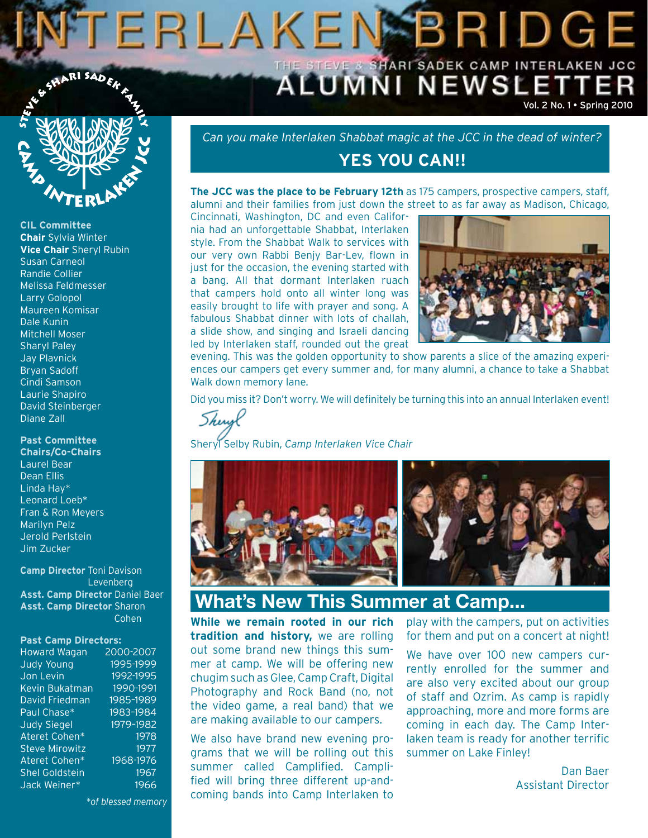# NTERLAKENSBRIDGE THE STEVE & SHARI SADEK CAMP INTERLAKEN JCC SHARI SADEK



**CIL Committee Chair** Sylvia Winter **Vice Chair** Sheryl Rubin Susan Carneol Randie Collier Melissa Feldmesser Larry Golopol Maureen Komisar Dale Kunin Mitchell Moser Sharyl Paley Jay Plavnick Bryan Sadoff Cindi Samson Laurie Shapiro David Steinberger Diane Zall

**Past Committee** 

**Chairs/Co-Chairs** Laurel Bear Dean Ellis Linda Hay\* Leonard Loeb\* Fran & Ron Meyers Marilyn Pelz Jerold Perlstein Jim Zucker

**Camp Director** Toni Davison Levenberg **Asst. Camp Director** Daniel Baer **Asst. Camp Director** Sharon Cohen

#### **Past Camp Directors:**

| <b>Howard Wagan</b>   | 2000-2007 |
|-----------------------|-----------|
| Judy Young            | 1995-1999 |
| Jon Levin             | 1992-1995 |
| Kevin Bukatman        | 1990-1991 |
| David Friedman        | 1985-1989 |
| Paul Chase*           | 1983-1984 |
| <b>Judy Siegel</b>    | 1979-1982 |
| Ateret Cohen*         | 1978      |
| <b>Steve Mirowitz</b> | 1977      |
| Ateret Cohen*         | 1968-1976 |
| <b>Shel Goldstein</b> | 1967      |
| Jack Weiner*          | 1966      |

*\*of blessed memory*

*Can you make Interlaken Shabbat magic at the JCC in the dead of winter?*

## **YES YOU CAN!!**

**The JCC was the place to be February 12th** as 175 campers, prospective campers, staff, alumni and their families from just down the street to as far away as Madison, Chicago,

Cincinnati, Washington, DC and even California had an unforgettable Shabbat, Interlaken style. From the Shabbat Walk to services with our very own Rabbi Benjy Bar-Lev, flown in just for the occasion, the evening started with a bang. All that dormant Interlaken ruach that campers hold onto all winter long was easily brought to life with prayer and song. A fabulous Shabbat dinner with lots of challah, a slide show, and singing and Israeli dancing led by Interlaken staff, rounded out the great



Vol. 2 No. 1 • Spring 2010

evening. This was the golden opportunity to show parents a slice of the amazing experiences our campers get every summer and, for many alumni, a chance to take a Shabbat Walk down memory lane.

Did you miss it? Don't worry. We will definitely be turning this into an annual Interlaken event!

Sherist

Sheryl Selby Rubin, *Camp Interlaken Vice Chair*



## **What's New This Summer at Camp...**

**While we remain rooted in our rich tradition and history,** we are rolling out some brand new things this summer at camp. We will be offering new chugim such as Glee, Camp Craft, Digital Photography and Rock Band (no, not the video game, a real band) that we are making available to our campers.

We also have brand new evening programs that we will be rolling out this summer called Camplified. Camplified will bring three different up-andcoming bands into Camp Interlaken to

play with the campers, put on activities for them and put on a concert at night!

We have over 100 new campers currently enrolled for the summer and are also very excited about our group of staff and Ozrim. As camp is rapidly approaching, more and more forms are coming in each day. The Camp Interlaken team is ready for another terrific summer on Lake Finley!

> Dan Baer Assistant Director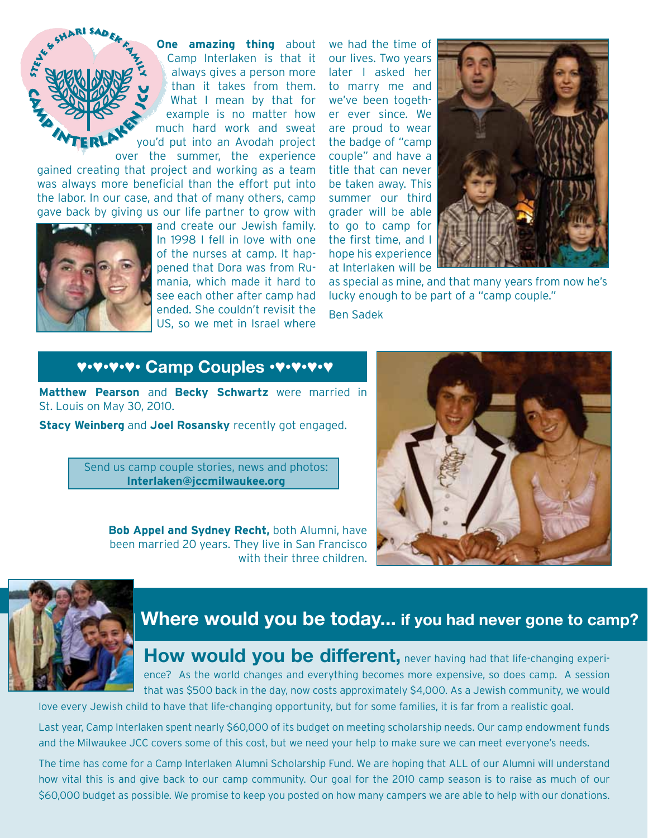

**One amazing thing** about Camp Interlaken is that it always gives a person more than it takes from them. What I mean by that for example is no matter how much hard work and sweat you'd put into an Avodah project over the summer, the experience

gained creating that project and working as a team was always more beneficial than the effort put into the labor. In our case, and that of many others, camp gave back by giving us our life partner to grow with



and create our Jewish family. In 1998 I fell in love with one of the nurses at camp. It happened that Dora was from Rumania, which made it hard to see each other after camp had ended. She couldn't revisit the US, so we met in Israel where

we had the time of our lives. Two years later I asked her to marry me and we've been together ever since. We are proud to wear the badge of "camp couple" and have a title that can never be taken away. This summer our third grader will be able to go to camp for the first time, and I hope his experience at Interlaken will be



as special as mine, and that many years from now he's lucky enough to be part of a "camp couple." Ben Sadek

## ♥•♥•♥•♥• **Camp Couples** •♥•♥•♥•♥

**Matthew Pearson** and **Becky Schwartz** were married in St. Louis on May 30, 2010.

**Stacy Weinberg** and **Joel Rosansky** recently got engaged.

Send us camp couple stories, news and photos: **Interlaken@jccmilwaukee.org**

> **Bob Appel and Sydney Recht,** both Alumni, have been married 20 years. They live in San Francisco with their three children.





# **Where would you be today... if you had never gone to camp?**

**How would you be different, never having had that life-changing experi**ence? As the world changes and everything becomes more expensive, so does camp. A session that was \$500 back in the day, now costs approximately \$4,000. As a Jewish community, we would

love every Jewish child to have that life-changing opportunity, but for some families, it is far from a realistic goal.

Last year, Camp Interlaken spent nearly \$60,000 of its budget on meeting scholarship needs. Our camp endowment funds and the Milwaukee JCC covers some of this cost, but we need your help to make sure we can meet everyone's needs.

The time has come for a Camp Interlaken Alumni Scholarship Fund. We are hoping that ALL of our Alumni will understand how vital this is and give back to our camp community. Our goal for the 2010 camp season is to raise as much of our \$60,000 budget as possible. We promise to keep you posted on how many campers we are able to help with our donations.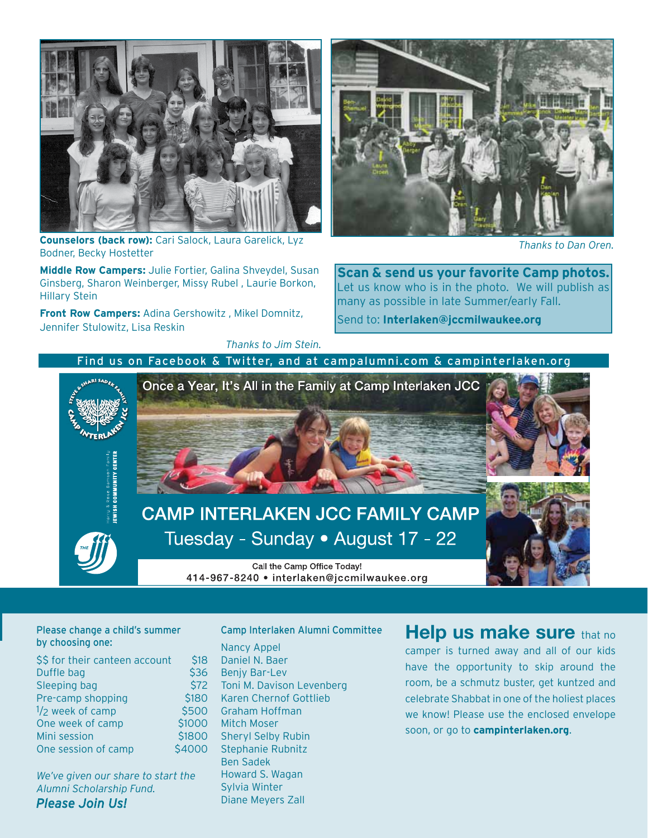

**Counselors (back row):** Cari Salock, Laura Garelick, Lyz Bodner, Becky Hostetter

**Middle Row Campers:** Julie Fortier, Galina Shveydel, Susan Ginsberg, Sharon Weinberger, Missy Rubel , Laurie Borkon, Hillary Stein

**Front Row Campers:** Adina Gershowitz , Mikel Domnitz, Jennifer Stulowitz, Lisa Reskin

*Thanks to Jim Stein.*



*Thanks to Dan Oren.*

**Scan & send us your favorite Camp photos.** Let us know who is in the photo. We will publish as many as possible in late Summer/early Fall.

Send to: **Interlaken@jccmilwaukee.org**

#### Find us on Facebook & Twitter, and at campalumni.com & campinterlaken.org



# **Where we had never design to the set of the summer**  $\blacksquare$ by choosing one:

| \$\$ for their canteen account | \$18   |
|--------------------------------|--------|
| Duffle bag                     | \$36   |
| Sleeping bag                   | \$72   |
| Pre-camp shopping              | \$180  |
| 1/ <sub>2</sub> week of camp   | \$500  |
| One week of camp               | \$1000 |
| Mini session                   | \$1800 |
| One session of camp            | \$4000 |
|                                |        |

*We've given our share to start the Alumni Scholarship Fund. Please Join Us!* 

Nancy Appel Daniel N. Baer 6 Benjy Bar-Lev 72 Toni M. Davison Levenberg Karen Chernof Gottlieb Graham Hoffman O Mitch Moser Sheryl Selby Rubin Stephanie Rubnitz Ben Sadek Howard S. Wagan Sylvia Winter

Diane Meyers Zall

Camp Interlaken Alumni Committee

### **Help us make sure** that no

camper is turned away and all of our kids have the opportunity to skip around the room, be a schmutz buster, get kuntzed and celebrate Shabbat in one of the holiest places we know! Please use the enclosed envelope soon, or go to **campinterlaken.org**.